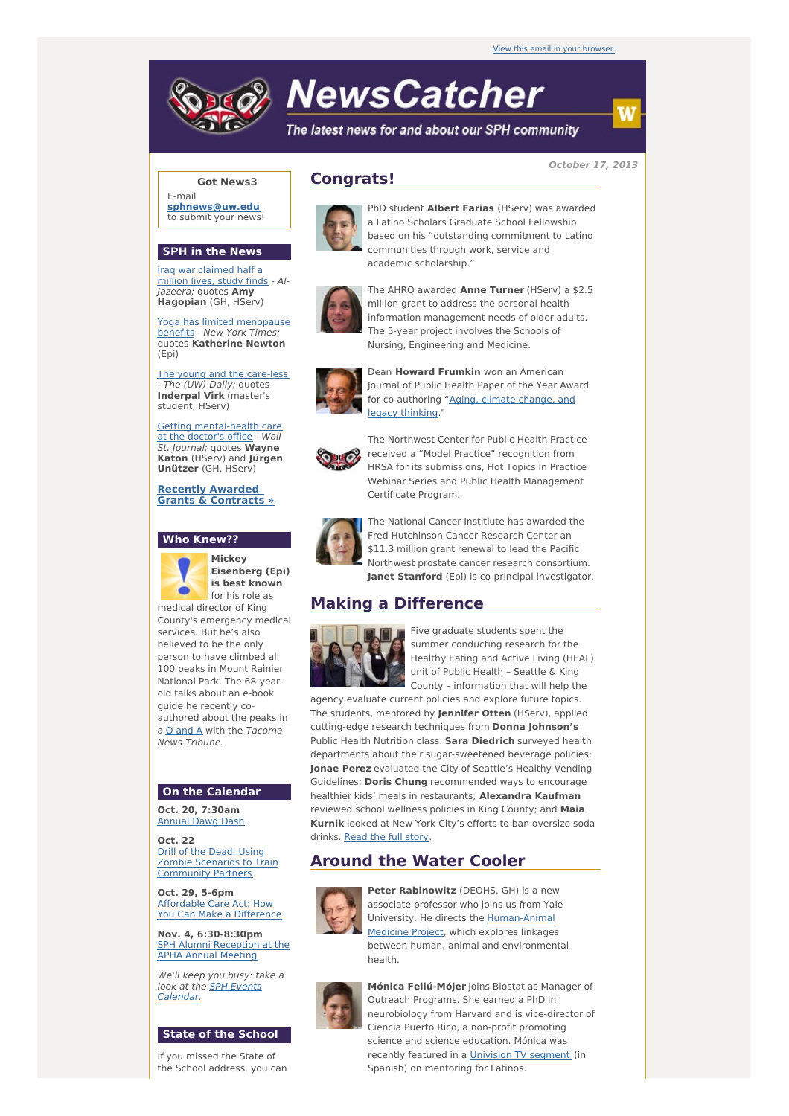# **NewsCatcher**

The latest news for and about our SPH community

**October 17, 2013**

### **Got News3**

E-mail **[sphnews@uw.edu](mailto:sphnews@uw.edu)** to submit your news!

#### **SPH in the News**

Iraq war [claimed](http://engage.washington.edu/site/R?i=WsY1uK-yhiN6AVEz-jhsWw) half a million lives, study finds - Al-Jazeera; quotes **Amy Hagopian** (GH, HServ)

Yoga has limited [menopause](http://engage.washington.edu/site/R?i=P-DfH6TD5li3c__QH5NSyQ) benefits - New York Times; quotes **Katherine Newton** (Epi)

The young and the [care-less](http://engage.washington.edu/site/R?i=_oAvqR_G_JiubOcbDmKxeA) - The (UW) Daily; quotes **Inderpal Virk** (master's student, HServ)

Getting [mental-health](http://engage.washington.edu/site/R?i=4B7uB5-2-6HLgG-7dn7vsA) care at the doctor's office - Wall St. Journal; quotes **Wayne Katon** (HServ) and **Jürgen Unützer** (GH, HServ)

**Recently Awarded Grants & [Contracts](http://engage.washington.edu/site/R?i=5uobrTCQthlmsFI6uNRukA) »**

#### **Who Knew??**



**Mickey Eisenberg (Epi) is best known** for his role as

medical director of King County's emergency medical services. But he's also believed to be the only person to have climbed all 100 peaks in Mount Rainier National Park. The 68-yearold talks about an e-book guide he recently coauthored about the peaks in a Q [and](http://engage.washington.edu/site/R?i=HSwbBReNy2otNJ-cO9IY3w) A with the Tacoma News-Tribune.

#### **On the Calendar**

**Oct. 20, 7:30am** [Annual](http://engage.washington.edu/site/R?i=C4ITsOYgHTwKkpGE-Sv41w) Dawg Dash

**Oct. 22** Drill of the Dead: Using Zombie Scenarios to Train [Community](http://engage.washington.edu/site/R?i=1z7QqXmRBSPwLl-q3eMGVA) Partners

**Oct. 29, 5-6pm** [Affordable](http://engage.washington.edu/site/R?i=izQydmCh8NYA7c4LnNWfeQ) Care Act: How You Can Make a Difference

**Nov. 4, 6:30-8:30pm** SPH Alumni [Reception](http://engage.washington.edu/site/R?i=bCMIzvSeaZDyk19lkHnhXw) at the APHA Annual Meeting

We'll keep you busy: take a look at the **SPH** Events [Calendar.](http://engage.washington.edu/site/R?i=aA3MLkxqYo0ci0Mlt0DNPQ)

#### **State of the School**

If you missed the State of the School address, you can

# **Congrats!**



PhD student **Albert Farias** (HServ) was awarded a Latino Scholars Graduate School Fellowship based on his "outstanding commitment to Latino communities through work, service and academic scholarship."



The AHRQ awarded **Anne Turner** (HServ) a \$2.5 million grant to address the personal health information management needs of older adults. The 5-year project involves the Schools of Nursing, Engineering and Medicine.



Dean **Howard Frumkin** won an American Journal of Public Health Paper of the Year Award -<br>for [co-authoring](http://engage.washington.edu/site/R?i=toPOKeKrbagzpcOwx08SJw) "Aging, climate change, and legacy thinking."



The Northwest Center for Public Health Practice received a "Model Practice" recognition from HRSA for its submissions, Hot Topics in Practice Webinar Series and Public Health Management Certificate Program.



The National Cancer Institiute has awarded the Fred Hutchinson Cancer Research Center an \$11.3 million grant renewal to lead the Pacific Northwest prostate cancer research consortium. **Janet Stanford** (Epi) is co-principal investigator.

## **Making a Difference**



Five graduate students spent the summer conducting research for the Healthy Eating and Active Living (HEAL) unit of Public Health – Seattle & King County – information that will help the

agency evaluate current policies and explore future topics. The students, mentored by **Jennifer Otten** (HServ), applied cutting-edge research techniques from **Donna Johnson's** Public Health Nutrition class. **Sara Diedrich** surveyed health departments about their sugar-sweetened beverage policies; **Jonae Perez** evaluated the City of Seattle's Healthy Vending Guidelines; **Doris Chung** recommended ways to encourage healthier kids' meals in restaurants; **Alexandra Kaufman** reviewed school wellness policies in King County; and **Maia Kurnik** looked at New York City's efforts to ban oversize soda drinks. [Read](http://engage.washington.edu/site/R?i=9R3u4KvVSaMvzrqBjyUgMQ) the full story.

# **Around the Water Cooler**



**Peter Rabinowitz** (DEOHS, GH) is a new associate professor who joins us from Yale University. He directs the [Human-Animal](http://engage.washington.edu/site/R?i=R0vhcNKIwgitmToQTpXcwQ) Medicine Project, which explores linkages between human, animal and environmental health.



**Mónica Feliú-Mójer** joins Biostat as Manager of Outreach Programs. She earned a PhD in neurobiology from Harvard and is vice-director of Ciencia Puerto Rico, a non-profit promoting science and science education. Mónica was recently featured in a [Univision](http://engage.washington.edu/site/R?i=wrZd8udU0LurteSVDgPBPg) TV segment (in Spanish) on mentoring for Latinos.